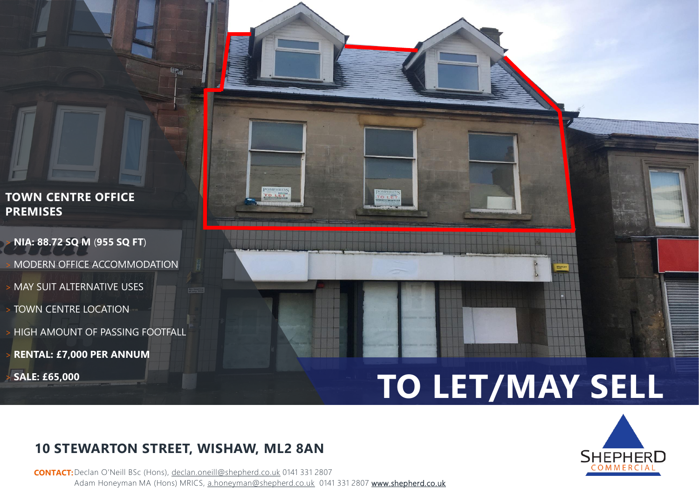### **TOWN CENTRE OFFICE PREMISES**

- > **NIA: 88.72 SQ M** (**955 SQ FT**)
- MODERN OFFICE ACCOMMODATION
- > MAY SUIT ALTERNATIVE USES
- > TOWN CENTRE LOCATION
- > HIGH AMOUNT OF PASSING FOOTFALL
- > **RENTAL: £7,000 PER ANNUM**
- > **SALE: £65,000**



# **TO LET/MAY SELL**



## **10 STEWARTON STREET, WISHAW, ML2 8AN**

e,

**CONTACT:** Declan O'Neill BSc (Hons), d[eclan.oneill@shepherd.co.uk](mailto:Declan.oneill@shepherd.co.uk) 0141 331 2807 Adam Honeyman MA (Hons) MRICS, [a.honeyman@shepherd.co.uk](mailto:a.honeyman@shepherd.co.uk) 0141 331 2807 www.shepherd.co.uk